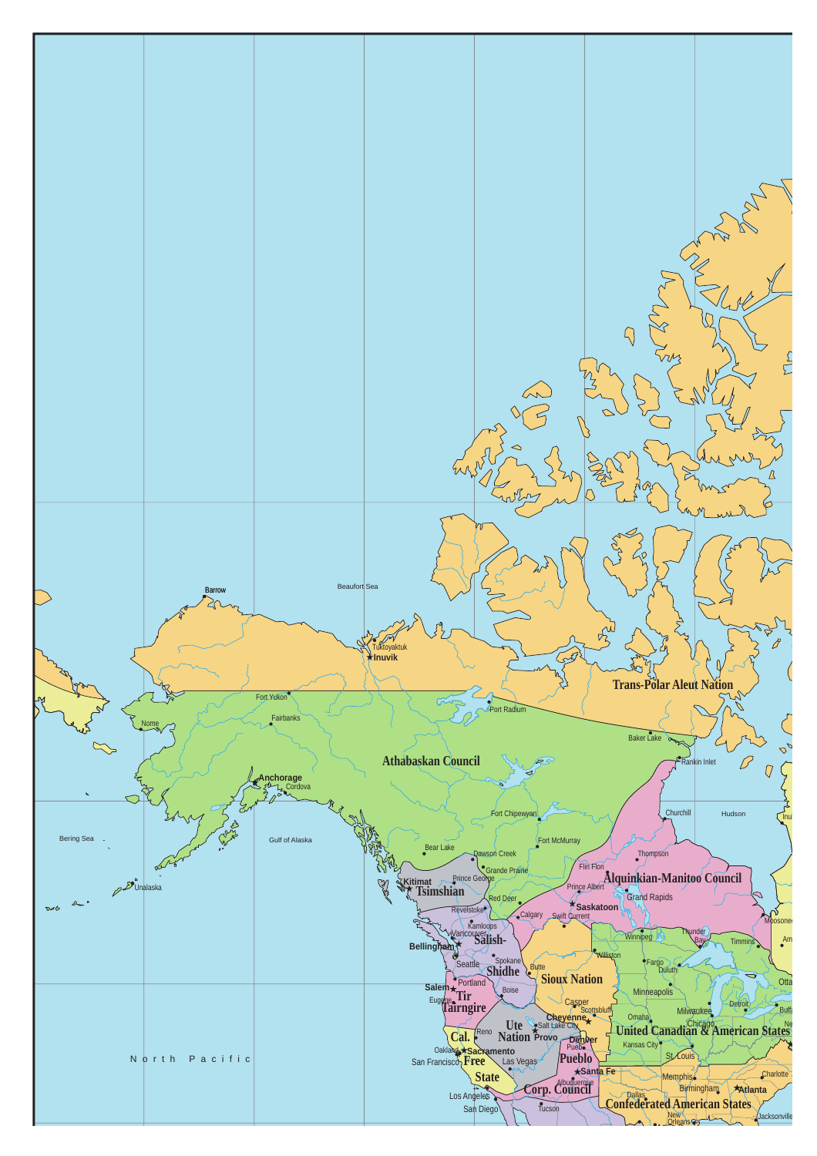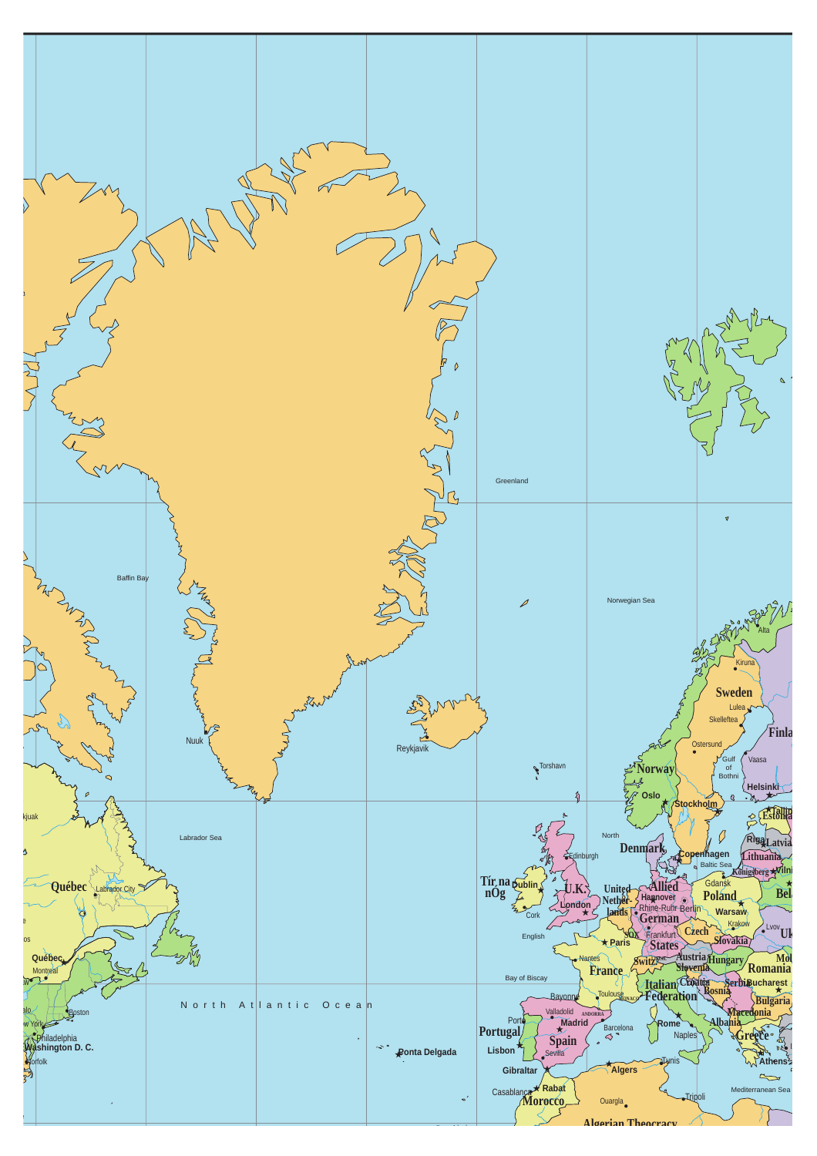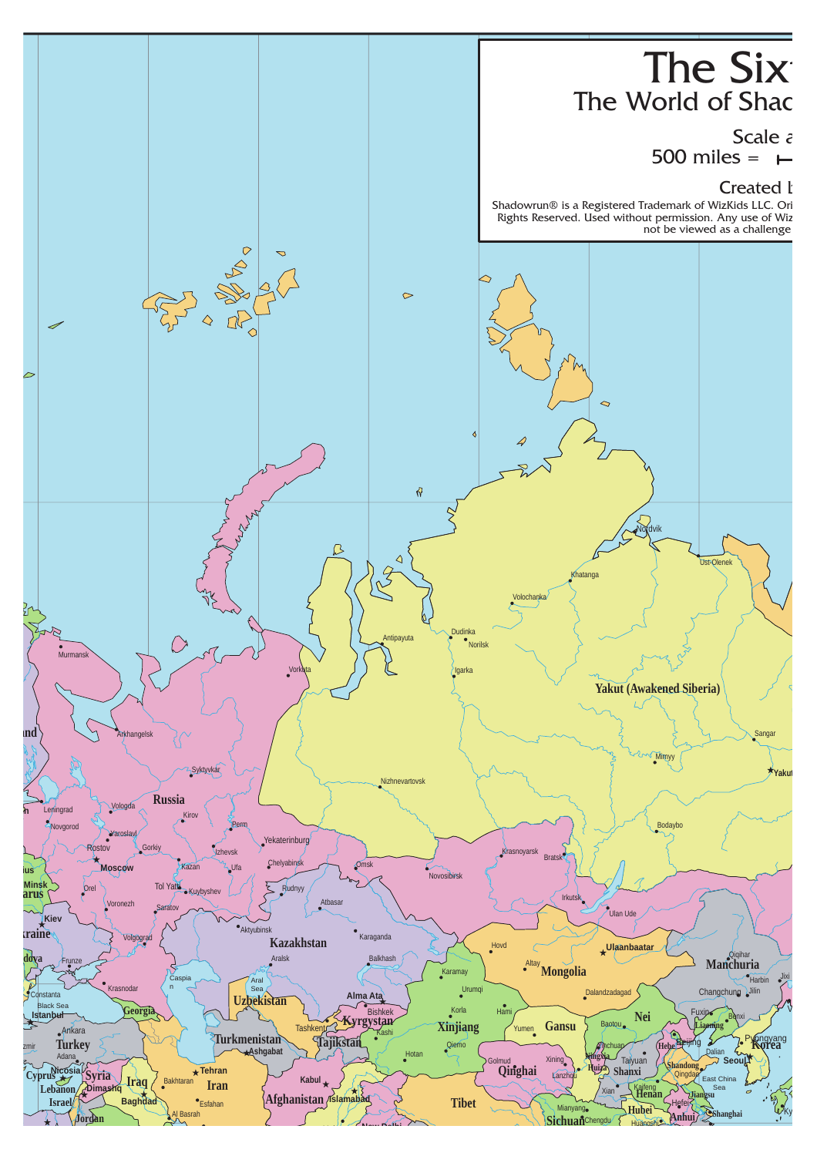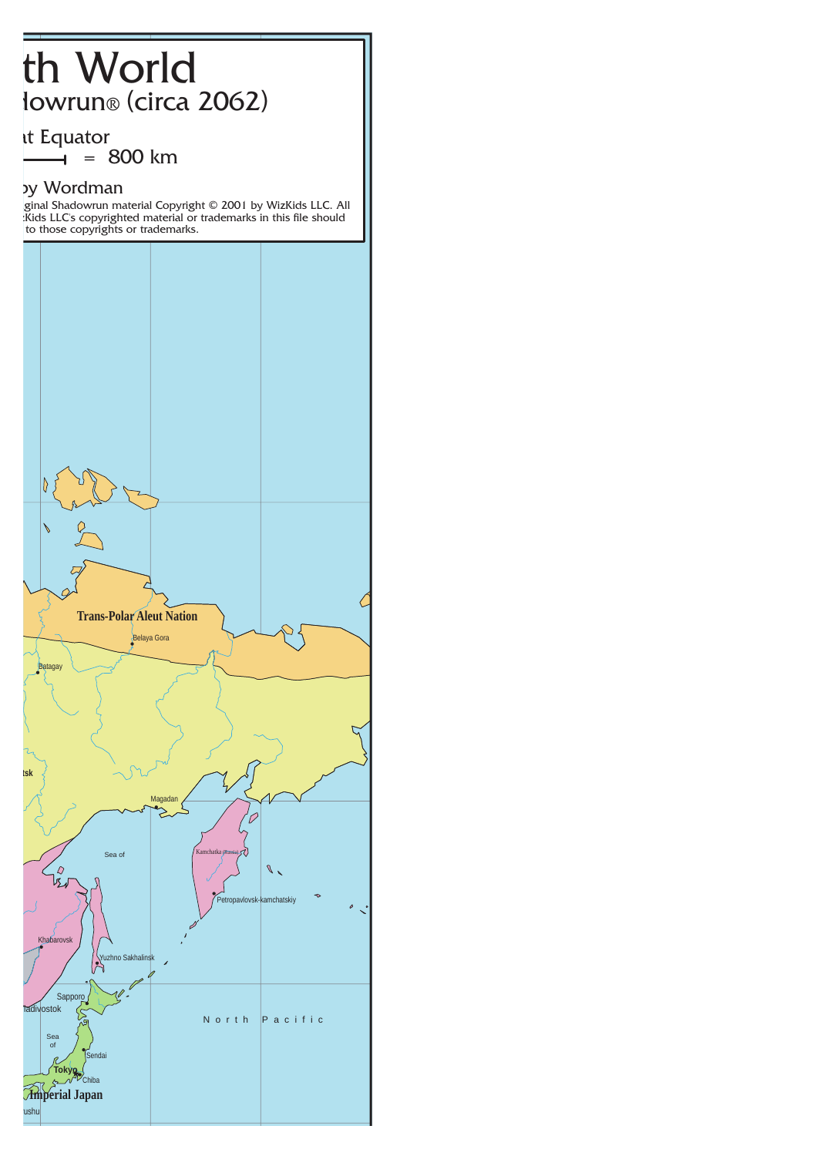## th World dowrun® (circa 2062)

it Equator<br> $\frac{1}{\sqrt{2}}$  = 8 = 800 km

## by Wordman

iginal Shadowrun material Copyright © 2001 by WizKids LLC. All zKids LLC's copyrighted material or trademarks in this file should to those copyrights or trademarks.

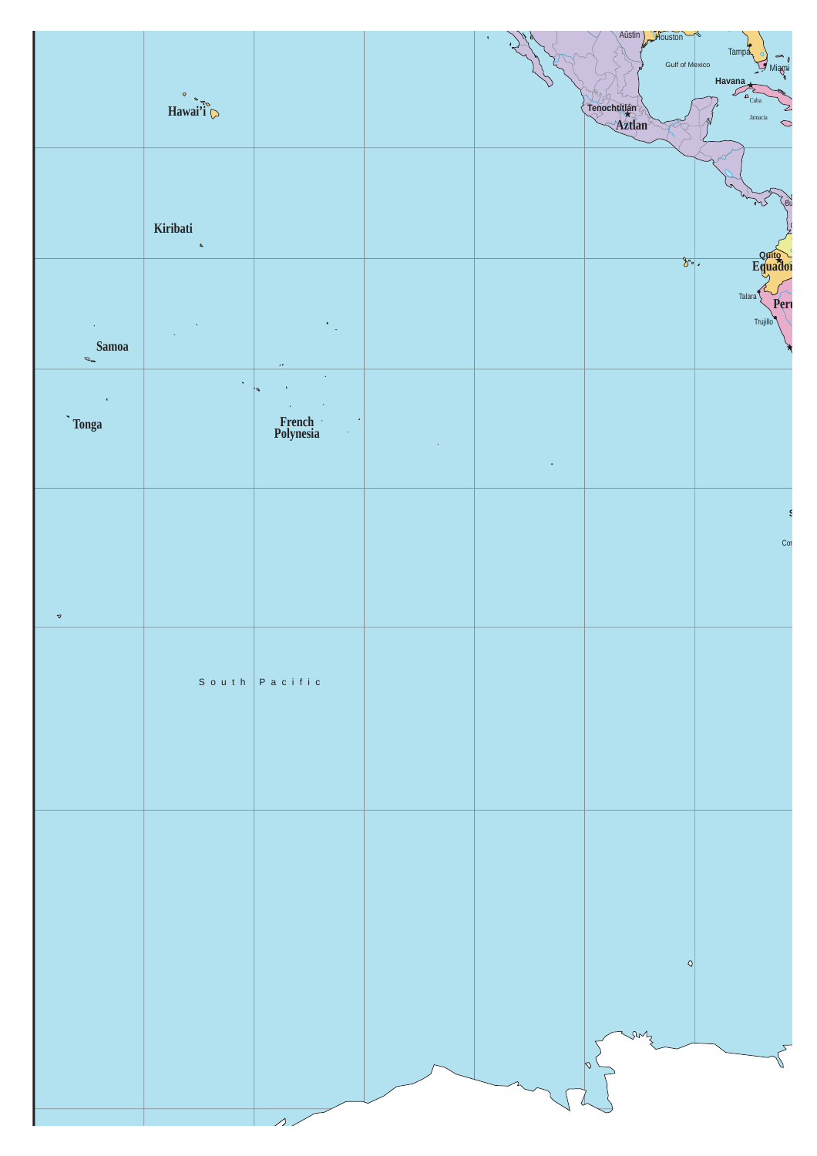|                                   | $\sum_{i=1}^{n}$ Hawai'i $\sum_{i=1}^{n}$ |                          |   | Austin <b>Auston</b><br>Gulf of Mexico<br>Tenochtitlan | Tampa<br>Miami<br>Havana<br>$\Delta$ Cuba<br>$\mathcal{Z}_{\mathcal{C}}$<br>$\it Jamacia$ |
|-----------------------------------|-------------------------------------------|--------------------------|---|--------------------------------------------------------|-------------------------------------------------------------------------------------------|
|                                   |                                           |                          |   |                                                        | $\bigcirc$<br>√Βι                                                                         |
|                                   | Kiribati<br>$\bar{\mathbf{x}}$            |                          |   |                                                        |                                                                                           |
| <b>Samoa</b><br>$\sigma^{\sigma}$ |                                           | $\bullet$                |   | 8°                                                     | Equador<br>Talara<br>Pert<br>Trujillo                                                     |
| $\hat{\mathbf{v}}$<br>Tonga       | $\lambda$                                 | French<br>Polynesia      |   |                                                        |                                                                                           |
|                                   |                                           |                          | ¥ |                                                        |                                                                                           |
|                                   |                                           |                          |   |                                                        | Cor                                                                                       |
| $\boldsymbol{\tau}$               |                                           |                          |   |                                                        |                                                                                           |
|                                   |                                           | South Pacific            |   |                                                        |                                                                                           |
|                                   |                                           |                          |   |                                                        |                                                                                           |
|                                   |                                           |                          |   |                                                        |                                                                                           |
|                                   |                                           |                          |   | $\hbox{\large\it Q}$                                   |                                                                                           |
|                                   |                                           |                          |   | suz                                                    |                                                                                           |
|                                   |                                           | $\overline{\mathcal{A}}$ |   |                                                        |                                                                                           |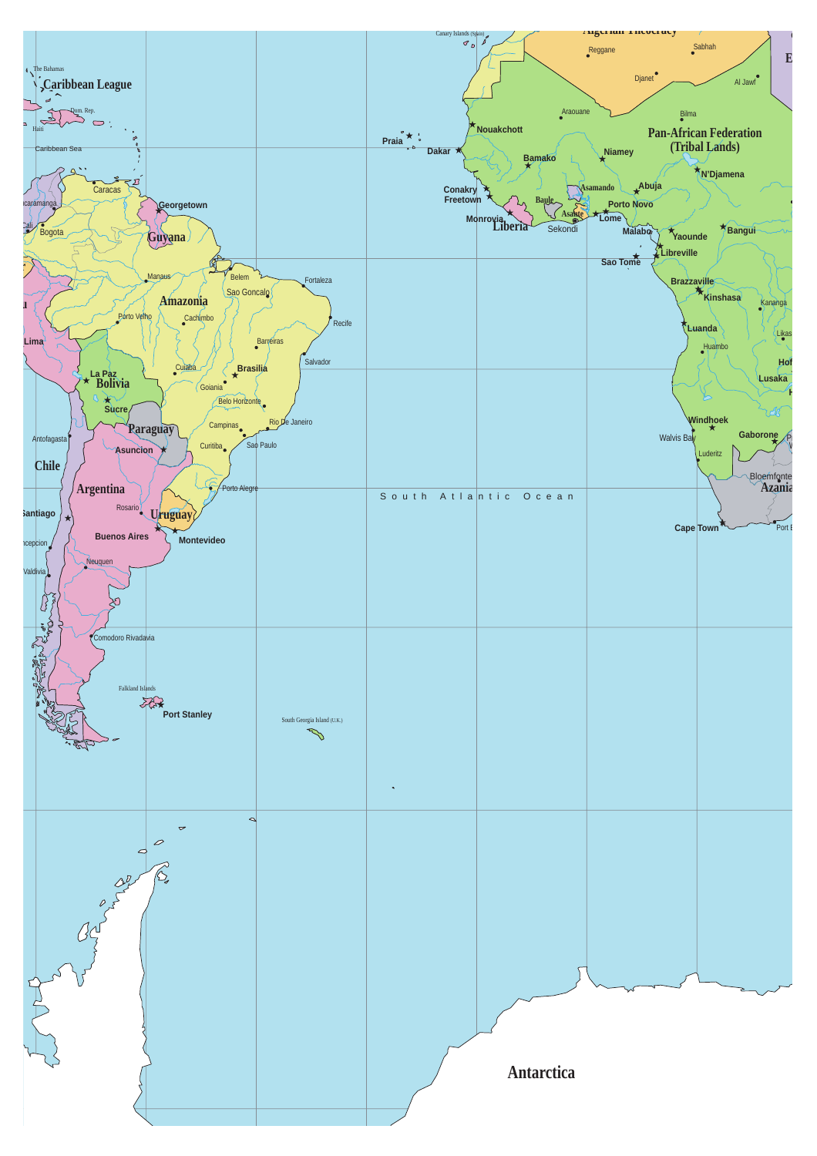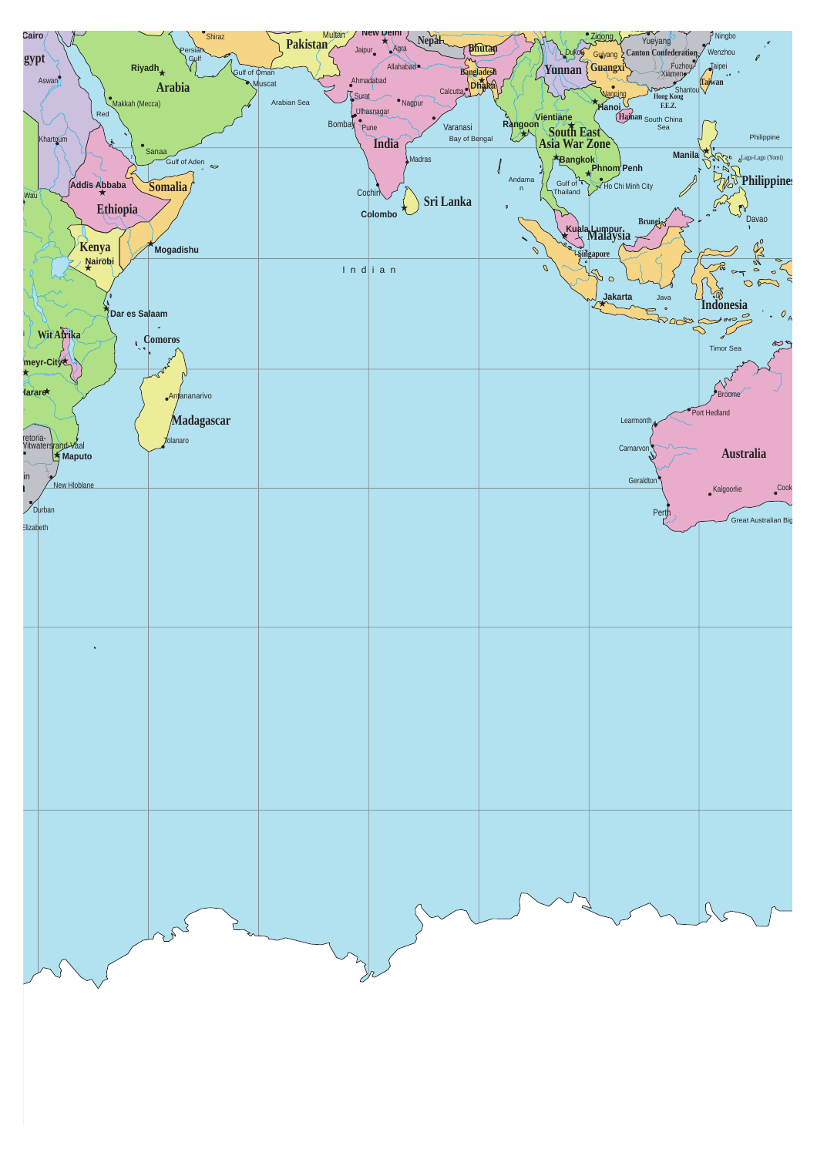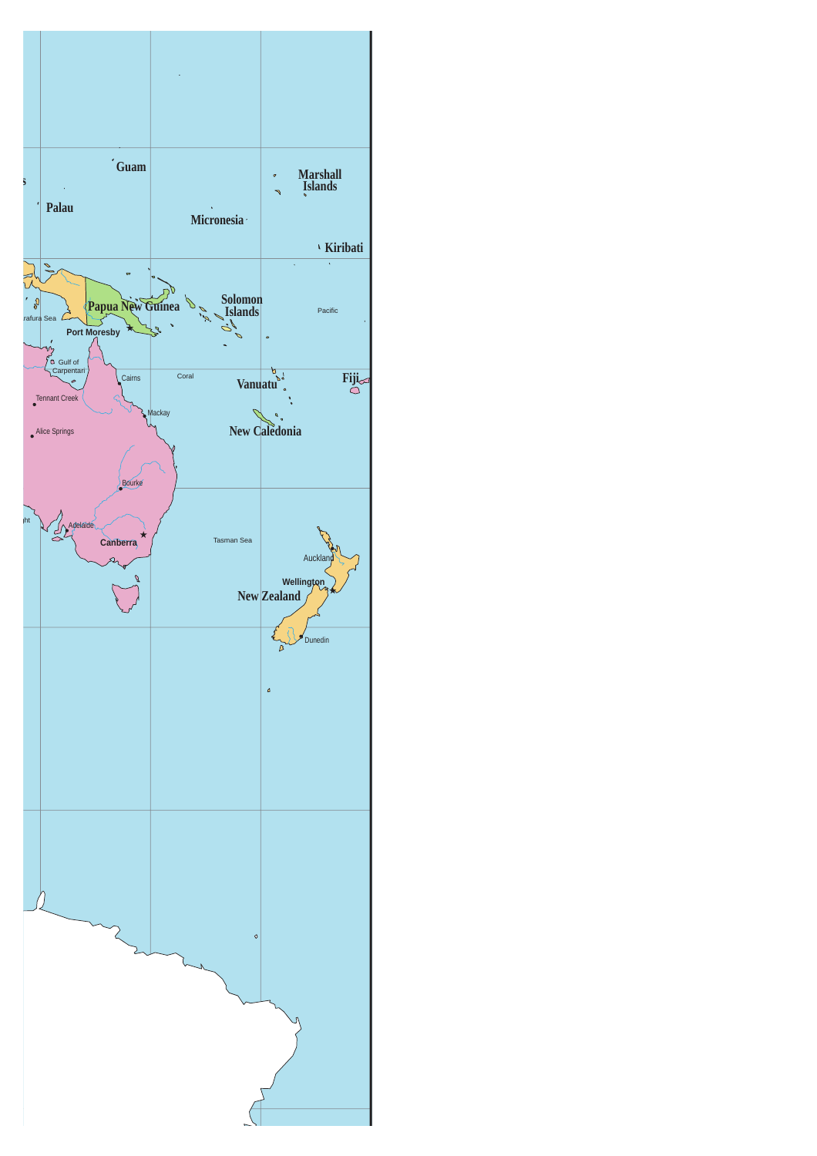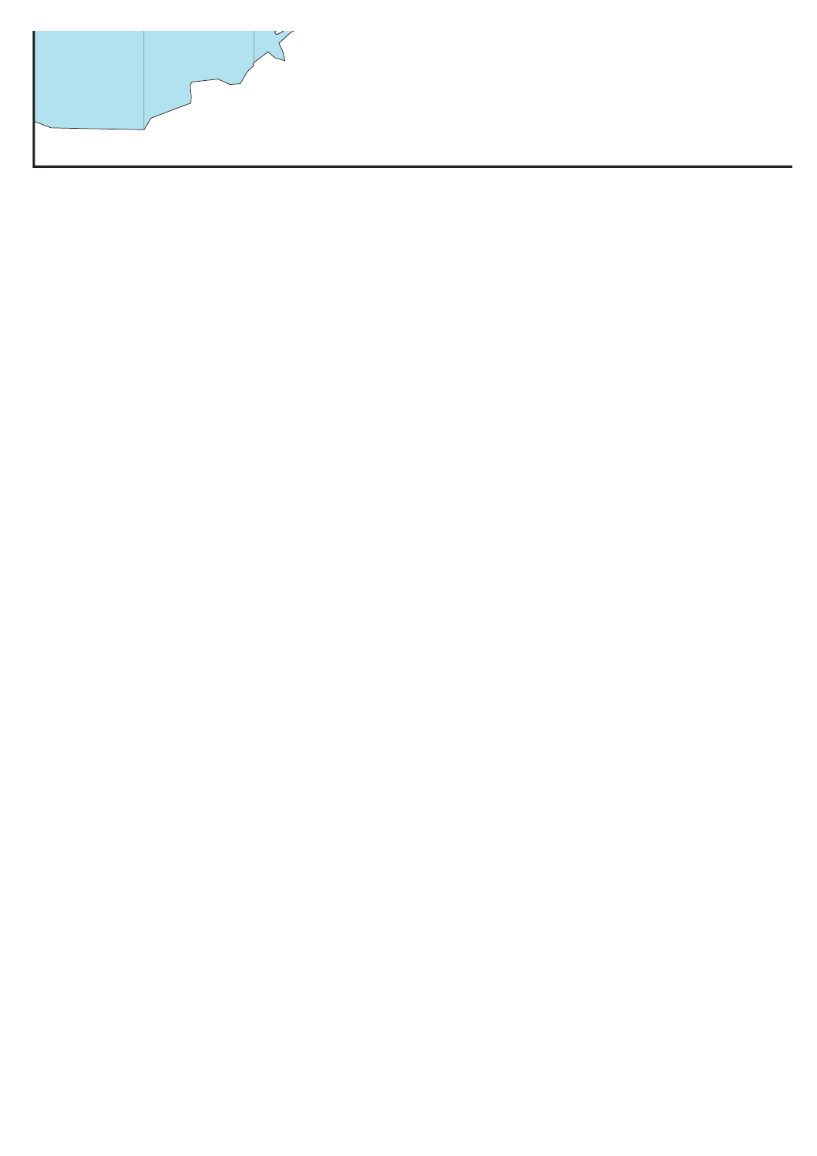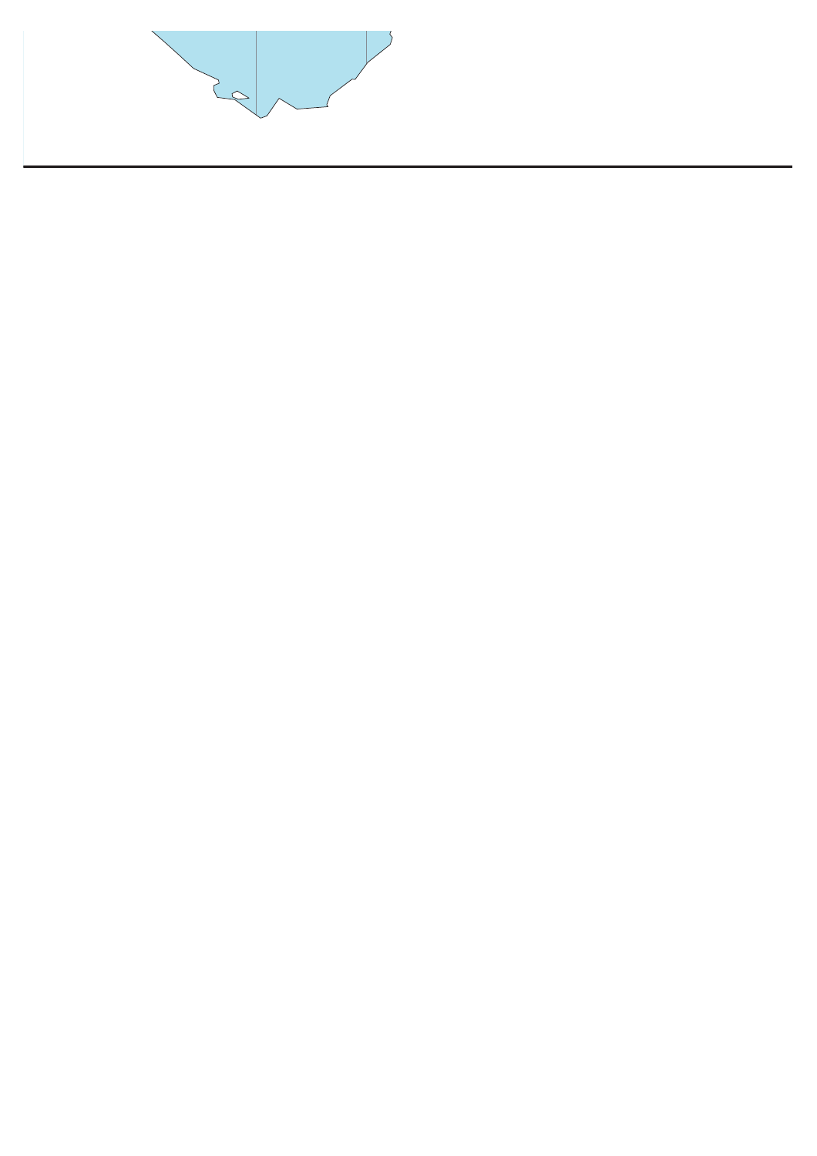